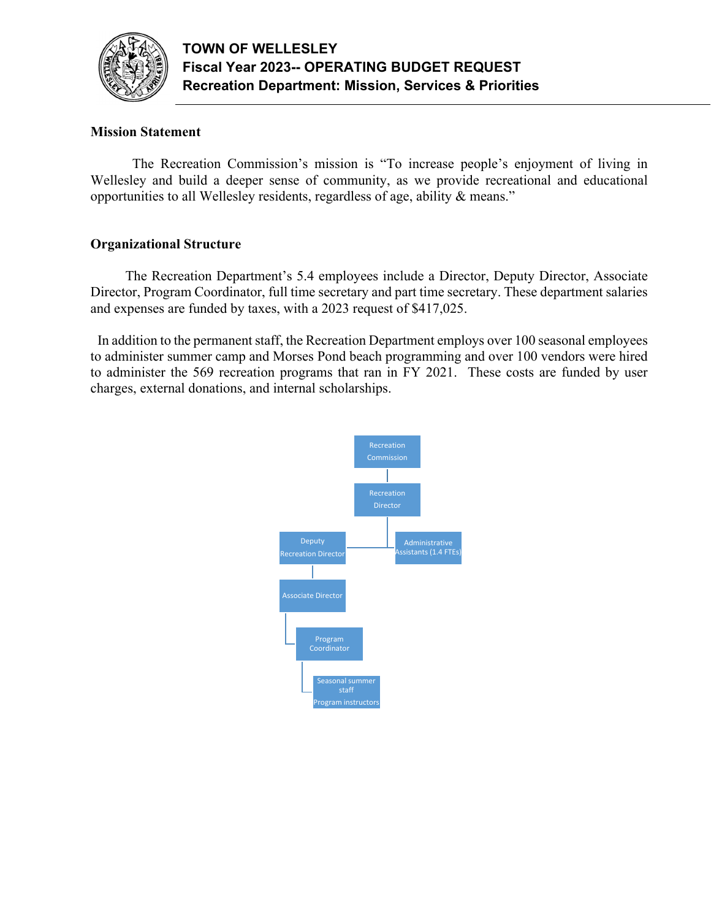

# **Mission Statement**

 The Recreation Commission's mission is "To increase people's enjoyment of living in Wellesley and build a deeper sense of community, as we provide recreational and educational opportunities to all Wellesley residents, regardless of age, ability & means."

## **Organizational Structure**

 The Recreation Department's 5.4 employees include a Director, Deputy Director, Associate Director, Program Coordinator, full time secretary and part time secretary. These department salaries and expenses are funded by taxes, with a 2023 request of \$417,025.

 In addition to the permanent staff, the Recreation Department employs over 100 seasonal employees to administer summer camp and Morses Pond beach programming and over 100 vendors were hired to administer the 569 recreation programs that ran in FY 2021. These costs are funded by user charges, external donations, and internal scholarships.

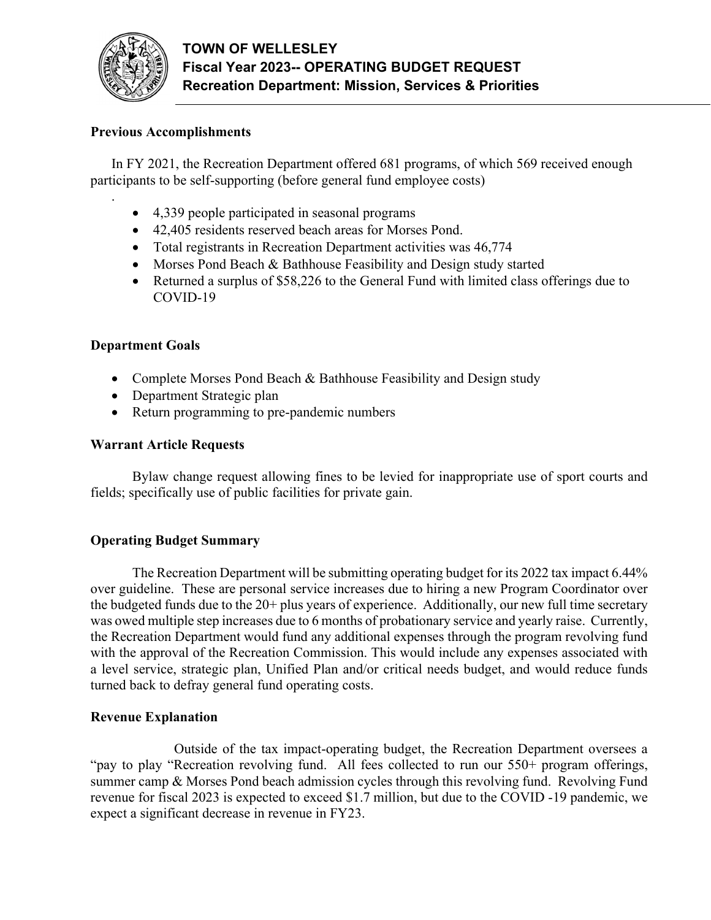

.

### **Previous Accomplishments**

In FY 2021, the Recreation Department offered 681 programs, of which 569 received enough participants to be self-supporting (before general fund employee costs)

- 4,339 people participated in seasonal programs
- 42,405 residents reserved beach areas for Morses Pond.
- Total registrants in Recreation Department activities was 46,774
- Morses Pond Beach & Bathhouse Feasibility and Design study started
- Returned a surplus of \$58,226 to the General Fund with limited class offerings due to COVID-19

#### **Department Goals**

- Complete Morses Pond Beach & Bathhouse Feasibility and Design study
- Department Strategic plan
- Return programming to pre-pandemic numbers

#### **Warrant Article Requests**

 Bylaw change request allowing fines to be levied for inappropriate use of sport courts and fields; specifically use of public facilities for private gain.

#### **Operating Budget Summary**

 The Recreation Department will be submitting operating budget for its 2022 tax impact 6.44% over guideline. These are personal service increases due to hiring a new Program Coordinator over the budgeted funds due to the 20+ plus years of experience. Additionally, our new full time secretary was owed multiple step increases due to 6 months of probationary service and yearly raise. Currently, the Recreation Department would fund any additional expenses through the program revolving fund with the approval of the Recreation Commission. This would include any expenses associated with a level service, strategic plan, Unified Plan and/or critical needs budget, and would reduce funds turned back to defray general fund operating costs.

#### **Revenue Explanation**

 Outside of the tax impact-operating budget, the Recreation Department oversees a "pay to play "Recreation revolving fund. All fees collected to run our 550+ program offerings, summer camp & Morses Pond beach admission cycles through this revolving fund. Revolving Fund revenue for fiscal 2023 is expected to exceed \$1.7 million, but due to the COVID -19 pandemic, we expect a significant decrease in revenue in FY23.